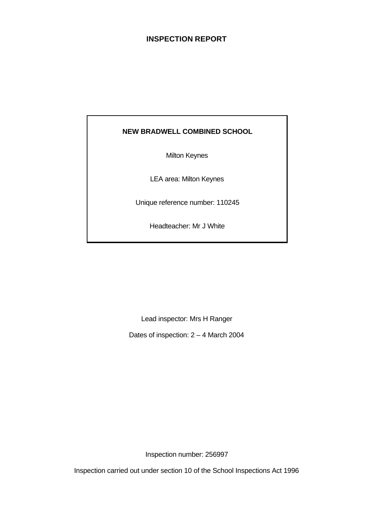# **INSPECTION REPORT**

# **NEW BRADWELL COMBINED SCHOOL**

Milton Keynes

LEA area: Milton Keynes

Unique reference number: 110245

Headteacher: Mr J White

Lead inspector: Mrs H Ranger

Dates of inspection: 2 – 4 March 2004

Inspection number: 256997

Inspection carried out under section 10 of the School Inspections Act 1996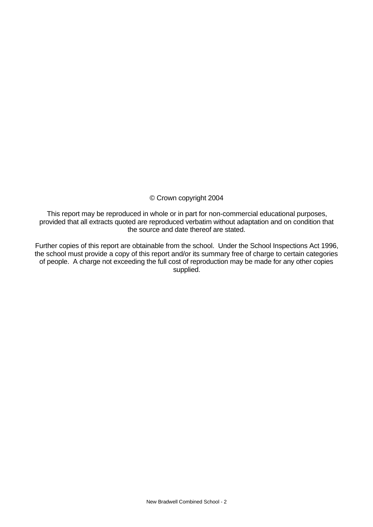# © Crown copyright 2004

This report may be reproduced in whole or in part for non-commercial educational purposes, provided that all extracts quoted are reproduced verbatim without adaptation and on condition that the source and date thereof are stated.

Further copies of this report are obtainable from the school. Under the School Inspections Act 1996, the school must provide a copy of this report and/or its summary free of charge to certain categories of people. A charge not exceeding the full cost of reproduction may be made for any other copies supplied.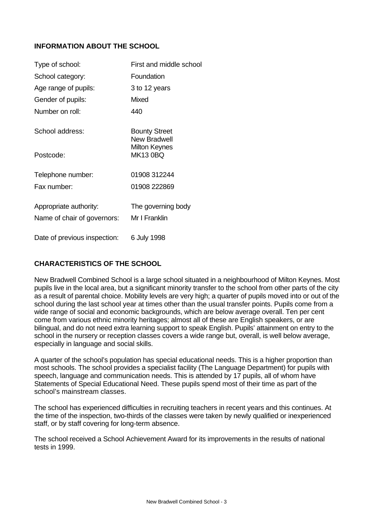# **INFORMATION ABOUT THE SCHOOL**

| Type of school:              | First and middle school                     |
|------------------------------|---------------------------------------------|
| School category:             | Foundation                                  |
| Age range of pupils:         | 3 to 12 years                               |
| Gender of pupils:            | <b>Mixed</b>                                |
| Number on roll:              | 440                                         |
| School address:              | <b>Bounty Street</b><br><b>New Bradwell</b> |
| Postcode:                    | <b>Milton Keynes</b><br><b>MK13 0BQ</b>     |
| Telephone number:            | 01908 312244                                |
| Fax number:                  | 01908 222869                                |
| Appropriate authority:       | The governing body                          |
| Name of chair of governors:  | Mr I Franklin                               |
| Date of previous inspection: | 6 July 1998                                 |

# **CHARACTERISTICS OF THE SCHOOL**

New Bradwell Combined School is a large school situated in a neighbourhood of Milton Keynes. Most pupils live in the local area, but a significant minority transfer to the school from other parts of the city as a result of parental choice. Mobility levels are very high; a quarter of pupils moved into or out of the school during the last school year at times other than the usual transfer points. Pupils come from a wide range of social and economic backgrounds, which are below average overall. Ten per cent come from various ethnic minority heritages; almost all of these are English speakers, or are bilingual, and do not need extra learning support to speak English. Pupils' attainment on entry to the school in the nursery or reception classes covers a wide range but, overall, is well below average, especially in language and social skills.

A quarter of the school's population has special educational needs. This is a higher proportion than most schools. The school provides a specialist facility (The Language Department) for pupils with speech, language and communication needs. This is attended by 17 pupils, all of whom have Statements of Special Educational Need. These pupils spend most of their time as part of the school's mainstream classes.

The school has experienced difficulties in recruiting teachers in recent years and this continues. At the time of the inspection, two-thirds of the classes were taken by newly qualified or inexperienced staff, or by staff covering for long-term absence.

The school received a School Achievement Award for its improvements in the results of national tests in 1999.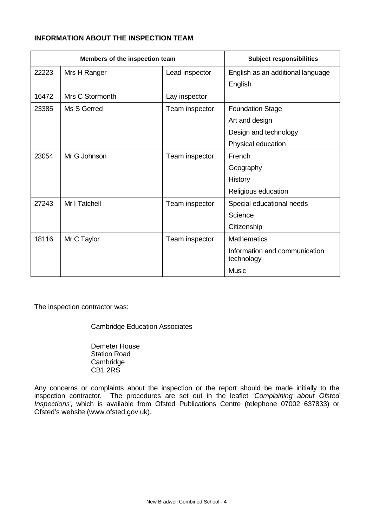# **INFORMATION ABOUT THE INSPECTION TEAM**

| Members of the inspection team |                 | <b>Subject responsibilities</b> |                                             |
|--------------------------------|-----------------|---------------------------------|---------------------------------------------|
| 22223                          | Mrs H Ranger    | Lead inspector                  | English as an additional language           |
|                                |                 |                                 | English                                     |
| 16472                          | Mrs C Stormonth | Lay inspector                   |                                             |
| 23385                          | Ms S Gerred     | Team inspector                  | <b>Foundation Stage</b>                     |
|                                |                 |                                 | Art and design                              |
|                                |                 |                                 | Design and technology                       |
|                                |                 |                                 | Physical education                          |
| 23054                          | Mr G Johnson    | Team inspector                  | French                                      |
|                                |                 |                                 | Geography                                   |
|                                |                 |                                 | <b>History</b>                              |
|                                |                 |                                 | Religious education                         |
| 27243                          | Mr I Tatchell   | Team inspector                  | Special educational needs                   |
|                                |                 |                                 | Science                                     |
|                                |                 |                                 | Citizenship                                 |
| 18116                          | Mr C Taylor     | Team inspector                  | <b>Mathematics</b>                          |
|                                |                 |                                 | Information and communication<br>technology |
|                                |                 |                                 | <b>Music</b>                                |

The inspection contractor was:

Cambridge Education Associates

Demeter House Station Road Cambridge CB1 2RS

Any concerns or complaints about the inspection or the report should be made initially to the inspection contractor. The procedures are set out in the leaflet *'Complaining about Ofsted Inspections'*, which is available from Ofsted Publications Centre (telephone 07002 637833) or Ofsted's website (www.ofsted.gov.uk).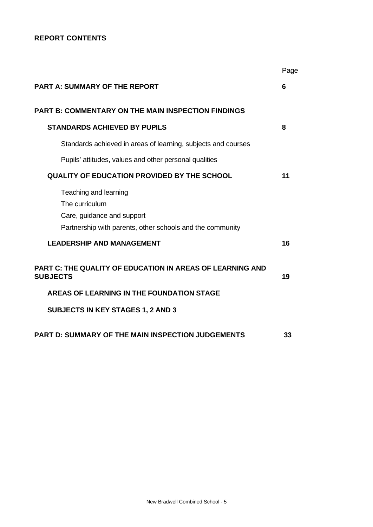# **REPORT CONTENTS**

|                                                                                                                                    | Page |
|------------------------------------------------------------------------------------------------------------------------------------|------|
| <b>PART A: SUMMARY OF THE REPORT</b>                                                                                               | 6    |
| PART B: COMMENTARY ON THE MAIN INSPECTION FINDINGS                                                                                 |      |
| <b>STANDARDS ACHIEVED BY PUPILS</b>                                                                                                | 8    |
| Standards achieved in areas of learning, subjects and courses                                                                      |      |
| Pupils' attitudes, values and other personal qualities                                                                             |      |
| <b>QUALITY OF EDUCATION PROVIDED BY THE SCHOOL</b>                                                                                 | 11   |
| Teaching and learning<br>The curriculum<br>Care, guidance and support<br>Partnership with parents, other schools and the community |      |
| <b>LEADERSHIP AND MANAGEMENT</b>                                                                                                   | 16   |
| <b>PART C: THE QUALITY OF EDUCATION IN AREAS OF LEARNING AND</b><br><b>SUBJECTS</b>                                                | 19   |
| AREAS OF LEARNING IN THE FOUNDATION STAGE                                                                                          |      |
| <b>SUBJECTS IN KEY STAGES 1, 2 AND 3</b>                                                                                           |      |
| <b>PART D: SUMMARY OF THE MAIN INSPECTION JUDGEMENTS</b>                                                                           | 33   |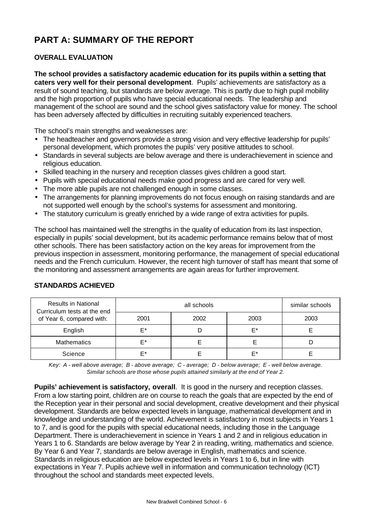# **PART A: SUMMARY OF THE REPORT**

# **OVERALL EVALUATION**

**The school provides a satisfactory academic education for its pupils within a setting that caters very well for their personal development**. Pupils' achievements are satisfactory as a result of sound teaching, but standards are below average. This is partly due to high pupil mobility and the high proportion of pupils who have special educational needs. The leadership and management of the school are sound and the school gives satisfactory value for money. The school has been adversely affected by difficulties in recruiting suitably experienced teachers.

The school's main strengths and weaknesses are:

- The headteacher and governors provide a strong vision and very effective leadership for pupils' personal development, which promotes the pupils' very positive attitudes to school.
- Standards in several subjects are below average and there is underachievement in science and religious education.
- Skilled teaching in the nursery and reception classes gives children a good start.
- Pupils with special educational needs make good progress and are cared for very well.
- The more able pupils are not challenged enough in some classes.
- The arrangements for planning improvements do not focus enough on raising standards and are not supported well enough by the school's systems for assessment and monitoring.
- The statutory curriculum is greatly enriched by a wide range of extra activities for pupils.

The school has maintained well the strengths in the quality of education from its last inspection, especially in pupils' social development, but its academic performance remains below that of most other schools. There has been satisfactory action on the key areas for improvement from the previous inspection in assessment, monitoring performance, the management of special educational needs and the French curriculum. However, the recent high turnover of staff has meant that some of the monitoring and assessment arrangements are again areas for further improvement.

| <b>Results in National</b><br>Curriculum tests at the end |      | similar schools |      |      |
|-----------------------------------------------------------|------|-----------------|------|------|
| of Year 6, compared with:                                 | 2001 | 2002            | 2003 | 2003 |
| English                                                   | F*   |                 | F*   |      |
| <b>Mathematics</b>                                        | F*   |                 |      |      |
| Science                                                   | F*   |                 | F*   |      |

#### **STANDARDS ACHIEVED**

*Key: A - well above average; B - above average; C - average; D - below average; E - well below average. Similar schools are those whose pupils attained similarly at the end of Year 2.*

**Pupils' achievement is satisfactory, overall**. It is good in the nursery and reception classes. From a low starting point, children are on course to reach the goals that are expected by the end of the Reception year in their personal and social development, creative development and their physical development. Standards are below expected levels in language, mathematical development and in knowledge and understanding of the world. Achievement is satisfactory in most subjects in Years 1 to 7, and is good for the pupils with special educational needs, including those in the Language Department. There is underachievement in science in Years 1 and 2 and in religious education in Years 1 to 6. Standards are below average by Year 2 in reading, writing, mathematics and science. By Year 6 and Year 7, standards are below average in English, mathematics and science. Standards in religious education are below expected levels in Years 1 to 6, but in line with expectations in Year 7. Pupils achieve well in information and communication technology (ICT) throughout the school and standards meet expected levels.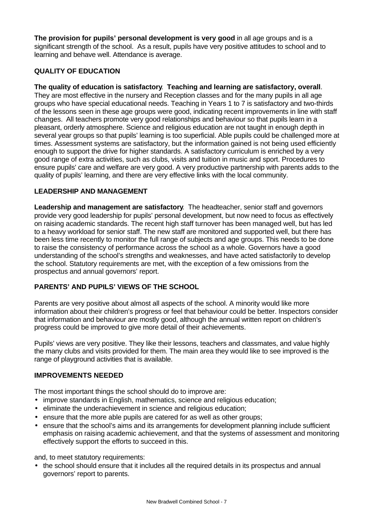**The provision for pupils' personal development is very good** in all age groups and is a significant strength of the school. As a result, pupils have very positive attitudes to school and to learning and behave well. Attendance is average.

# **QUALITY OF EDUCATION**

**The quality of education is satisfactory**. **Teaching and learning are satisfactory, overall**. They are most effective in the nursery and Reception classes and for the many pupils in all age groups who have special educational needs. Teaching in Years 1 to 7 is satisfactory and two-thirds of the lessons seen in these age groups were good, indicating recent improvements in line with staff changes. All teachers promote very good relationships and behaviour so that pupils learn in a pleasant, orderly atmosphere. Science and religious education are not taught in enough depth in several year groups so that pupils' learning is too superficial. Able pupils could be challenged more at times. Assessment systems are satisfactory, but the information gained is not being used efficiently enough to support the drive for higher standards. A satisfactory curriculum is enriched by a very good range of extra activities, such as clubs, visits and tuition in music and sport. Procedures to ensure pupils' care and welfare are very good. A very productive partnership with parents adds to the quality of pupils' learning, and there are very effective links with the local community.

# **LEADERSHIP AND MANAGEMENT**

**Leadership and management are satisfactory**. The headteacher, senior staff and governors provide very good leadership for pupils' personal development, but now need to focus as effectively on raising academic standards. The recent high staff turnover has been managed well, but has led to a heavy workload for senior staff. The new staff are monitored and supported well, but there has been less time recently to monitor the full range of subjects and age groups. This needs to be done to raise the consistency of performance across the school as a whole. Governors have a good understanding of the school's strengths and weaknesses, and have acted satisfactorily to develop the school. Statutory requirements are met, with the exception of a few omissions from the prospectus and annual governors' report.

# **PARENTS' AND PUPILS' VIEWS OF THE SCHOOL**

Parents are very positive about almost all aspects of the school. A minority would like more information about their children's progress or feel that behaviour could be better. Inspectors consider that information and behaviour are mostly good, although the annual written report on children's progress could be improved to give more detail of their achievements.

Pupils' views are very positive. They like their lessons, teachers and classmates, and value highly the many clubs and visits provided for them. The main area they would like to see improved is the range of playground activities that is available.

### **IMPROVEMENTS NEEDED**

The most important things the school should do to improve are:

- improve standards in English, mathematics, science and religious education;
- eliminate the underachievement in science and religious education;
- ensure that the more able pupils are catered for as well as other groups;
- ensure that the school's aims and its arrangements for development planning include sufficient emphasis on raising academic achievement, and that the systems of assessment and monitoring effectively support the efforts to succeed in this.

and, to meet statutory requirements:

• the school should ensure that it includes all the required details in its prospectus and annual governors' report to parents.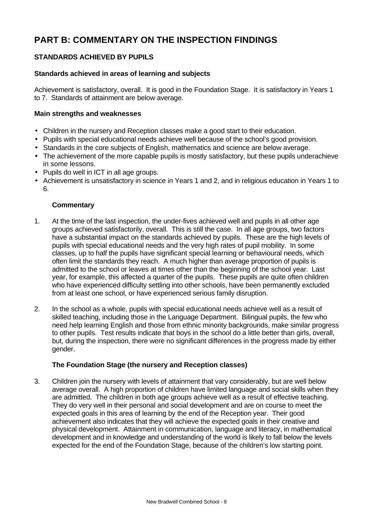# **PART B: COMMENTARY ON THE INSPECTION FINDINGS**

# **STANDARDS ACHIEVED BY PUPILS**

### **Standards achieved in areas of learning and subjects**

Achievement is satisfactory, overall. It is good in the Foundation Stage. It is satisfactory in Years 1 to 7. Standards of attainment are below average.

#### **Main strengths and weaknesses**

- Children in the nursery and Reception classes make a good start to their education.
- Pupils with special educational needs achieve well because of the school's good provision.
- Standards in the core subjects of English, mathematics and science are below average.
- The achievement of the more capable pupils is mostly satisfactory, but these pupils underachieve in some lessons.
- Pupils do well in ICT in all age groups.
- Achievement is unsatisfactory in science in Years 1 and 2, and in religious education in Years 1 to 6.

#### **Commentary**

- 1. At the time of the last inspection, the under-fives achieved well and pupils in all other age groups achieved satisfactorily, overall. This is still the case. In all age groups, two factors have a substantial impact on the standards achieved by pupils. These are the high levels of pupils with special educational needs and the very high rates of pupil mobility. In some classes, up to half the pupils have significant special learning or behavioural needs, which often limit the standards they reach. A much higher than average proportion of pupils is admitted to the school or leaves at times other than the beginning of the school year. Last year, for example, this affected a quarter of the pupils. These pupils are quite often children who have experienced difficulty settling into other schools, have been permanently excluded from at least one school, or have experienced serious family disruption.
- 2. In the school as a whole, pupils with special educational needs achieve well as a result of skilled teaching, including those in the Language Department. Bilingual pupils, the few who need help learning English and those from ethnic minority backgrounds, make similar progress to other pupils. Test results indicate that boys in the school do a little better than girls, overall, but, during the inspection, there were no significant differences in the progress made by either gender.

#### **The Foundation Stage (the nursery and Reception classes)**

3. Children join the nursery with levels of attainment that vary considerably, but are well below average overall. A high proportion of children have limited language and social skills when they are admitted. The children in both age groups achieve well as a result of effective teaching. They do very well in their personal and social development and are on course to meet the expected goals in this area of learning by the end of the Reception year. Their good achievement also indicates that they will achieve the expected goals in their creative and physical development. Attainment in communication, language and literacy, in mathematical development and in knowledge and understanding of the world is likely to fall below the levels expected for the end of the Foundation Stage, because of the children's low starting point.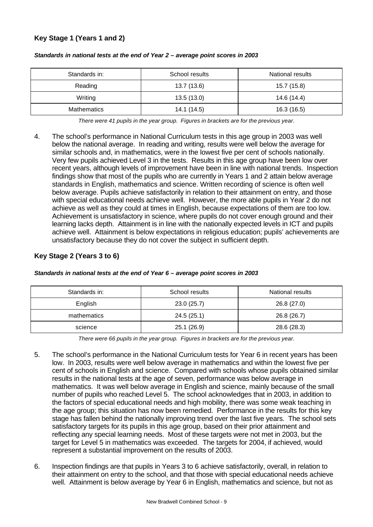# **Key Stage 1 (Years 1 and 2)**

| Standards in: | School results | National results |  |
|---------------|----------------|------------------|--|
| Reading       | 13.7 (13.6)    | 15.7 (15.8)      |  |
| Writing       | 13.5(13.0)     | 14.6 (14.4)      |  |
| Mathematics   | 14.1 (14.5)    | 16.3(16.5)       |  |

#### *Standards in national tests at the end of Year 2 – average point scores in 2003*

*There were 41 pupils in the year group. Figures in brackets are for the previous year.*

4. The school's performance in National Curriculum tests in this age group in 2003 was well below the national average. In reading and writing, results were well below the average for similar schools and, in mathematics, were in the lowest five per cent of schools nationally. Very few pupils achieved Level 3 in the tests. Results in this age group have been low over recent years, although levels of improvement have been in line with national trends. Inspection findings show that most of the pupils who are currently in Years 1 and 2 attain below average standards in English, mathematics and science. Written recording of science is often well below average. Pupils achieve satisfactorily in relation to their attainment on entry, and those with special educational needs achieve well. However, the more able pupils in Year 2 do not achieve as well as they could at times in English, because expectations of them are too low. Achievement is unsatisfactory in science, where pupils do not cover enough ground and their learning lacks depth. Attainment is in line with the nationally expected levels in ICT and pupils achieve well. Attainment is below expectations in religious education; pupils' achievements are unsatisfactory because they do not cover the subject in sufficient depth.

# **Key Stage 2 (Years 3 to 6)**

| Standards in: | School results | National results |  |
|---------------|----------------|------------------|--|
| English       | 23.0(25.7)     | 26.8 (27.0)      |  |
| mathematics   | 24.5(25.1)     | 26.8 (26.7)      |  |
| science       | 25.1 (26.9)    | 28.6 (28.3)      |  |

#### *Standards in national tests at the end of Year 6 – average point scores in 2003*

*There were 66 pupils in the year group. Figures in brackets are for the previous year.*

- 5. The school's performance in the National Curriculum tests for Year 6 in recent years has been low. In 2003, results were well below average in mathematics and within the lowest five per cent of schools in English and science. Compared with schools whose pupils obtained similar results in the national tests at the age of seven, performance was below average in mathematics. It was well below average in English and science, mainly because of the small number of pupils who reached Level 5. The school acknowledges that in 2003, in addition to the factors of special educational needs and high mobility, there was some weak teaching in the age group; this situation has now been remedied. Performance in the results for this key stage has fallen behind the nationally improving trend over the last five years. The school sets satisfactory targets for its pupils in this age group, based on their prior attainment and reflecting any special learning needs. Most of these targets were not met in 2003, but the target for Level 5 in mathematics was exceeded. The targets for 2004, if achieved, would represent a substantial improvement on the results of 2003.
- 6. Inspection findings are that pupils in Years 3 to 6 achieve satisfactorily, overall, in relation to their attainment on entry to the school, and that those with special educational needs achieve well. Attainment is below average by Year 6 in English, mathematics and science, but not as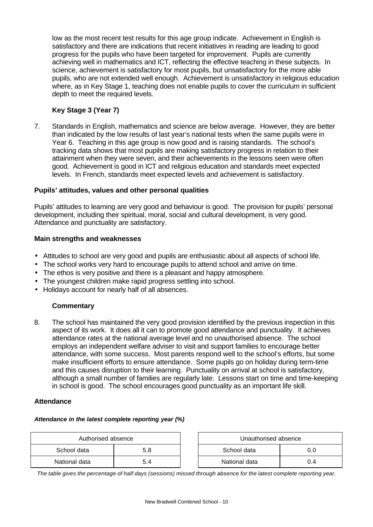low as the most recent test results for this age group indicate. Achievement in English is satisfactory and there are indications that recent initiatives in reading are leading to good progress for the pupils who have been targeted for improvement. Pupils are currently achieving well in mathematics and ICT, reflecting the effective teaching in these subjects. In science, achievement is satisfactory for most pupils, but unsatisfactory for the more able pupils, who are not extended well enough. Achievement is unsatisfactory in religious education where, as in Key Stage 1, teaching does not enable pupils to cover the curriculum in sufficient depth to meet the required levels.

# **Key Stage 3 (Year 7)**

7. Standards in English, mathematics and science are below average. However, they are better than indicated by the low results of last year's national tests when the same pupils were in Year 6. Teaching in this age group is now good and is raising standards. The school's tracking data shows that most pupils are making satisfactory progress in relation to their attainment when they were seven, and their achievements in the lessons seen were often good. Achievement is good in ICT and religious education and standards meet expected levels. In French, standards meet expected levels and achievement is satisfactory.

#### **Pupils' attitudes, values and other personal qualities**

Pupils' attitudes to learning are very good and behaviour is good. The provision for pupils' personal development, including their spiritual, moral, social and cultural development, is very good. Attendance and punctuality are satisfactory.

#### **Main strengths and weaknesses**

- Attitudes to school are very good and pupils are enthusiastic about all aspects of school life.
- The school works very hard to encourage pupils to attend school and arrive on time.
- The ethos is very positive and there is a pleasant and happy atmosphere.
- The youngest children make rapid progress settling into school.
- Holidays account for nearly half of all absences.

#### **Commentary**

8. The school has maintained the very good provision identified by the previous inspection in this aspect of its work. It does all it can to promote good attendance and punctuality. It achieves attendance rates at the national average level and no unauthorised absence. The school employs an independent welfare adviser to visit and support families to encourage better attendance, with some success. Most parents respond well to the school's efforts, but some make insufficient efforts to ensure attendance. Some pupils go on holiday during term-time and this causes disruption to their learning. Punctuality on arrival at school is satisfactory, although a small number of families are regularly late. Lessons start on time and time-keeping in school is good. The school encourages good punctuality as an important life skill.

#### **Attendance**

*Attendance in the latest complete reporting year (%)*

| Authorised absence |     |  | Unauthorised absence |     |  |
|--------------------|-----|--|----------------------|-----|--|
| School data        | 5.8 |  | School data          |     |  |
| National data      | 5.4 |  | National data        | 0.4 |  |

*The table gives the percentage of half days (sessions) missed through absence for the latest complete reporting year.*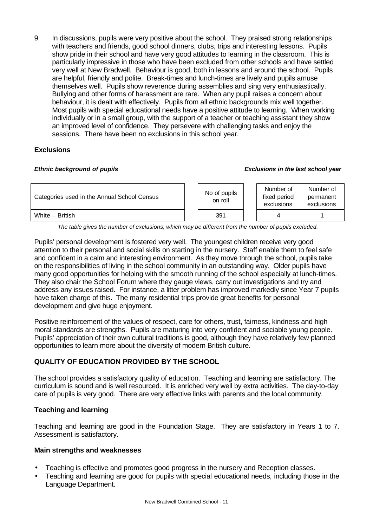9. In discussions, pupils were very positive about the school. They praised strong relationships with teachers and friends, good school dinners, clubs, trips and interesting lessons. Pupils show pride in their school and have very good attitudes to learning in the classroom. This is particularly impressive in those who have been excluded from other schools and have settled very well at New Bradwell. Behaviour is good, both in lessons and around the school. Pupils are helpful, friendly and polite. Break-times and lunch-times are lively and pupils amuse themselves well. Pupils show reverence during assemblies and sing very enthusiastically. Bullying and other forms of harassment are rare. When any pupil raises a concern about behaviour, it is dealt with effectively. Pupils from all ethnic backgrounds mix well together. Most pupils with special educational needs have a positive attitude to learning. When working individually or in a small group, with the support of a teacher or teaching assistant they show an improved level of confidence. They persevere with challenging tasks and enjoy the sessions. There have been no exclusions in this school year.

# **Exclusions**

#### *Ethnic background of pupils Exclusions in the last school year*

| Categories used in the Annual School Census |  | No of pupils<br>on roll |  | Number of<br>fixed period<br>exclusions | Number of<br>permanent<br>exclusions |
|---------------------------------------------|--|-------------------------|--|-----------------------------------------|--------------------------------------|
| White - British                             |  | 391                     |  |                                         |                                      |

*The table gives the number of exclusions, which may be different from the number of pupils excluded.*

Pupils' personal development is fostered very well. The youngest children receive very good attention to their personal and social skills on starting in the nursery. Staff enable them to feel safe and confident in a calm and interesting environment. As they move through the school, pupils take on the responsibilities of living in the school community in an outstanding way. Older pupils have many good opportunities for helping with the smooth running of the school especially at lunch-times. They also chair the School Forum where they gauge views, carry out investigations and try and address any issues raised. For instance, a litter problem has improved markedly since Year 7 pupils have taken charge of this. The many residential trips provide great benefits for personal development and give huge enjoyment.

Positive reinforcement of the values of respect, care for others, trust, fairness, kindness and high moral standards are strengths. Pupils are maturing into very confident and sociable young people. Pupils' appreciation of their own cultural traditions is good, although they have relatively few planned opportunities to learn more about the diversity of modern British culture.

# **QUALITY OF EDUCATION PROVIDED BY THE SCHOOL**

The school provides a satisfactory quality of education. Teaching and learning are satisfactory. The curriculum is sound and is well resourced. It is enriched very well by extra activities. The day-to-day care of pupils is very good. There are very effective links with parents and the local community.

#### **Teaching and learning**

Teaching and learning are good in the Foundation Stage. They are satisfactory in Years 1 to 7. Assessment is satisfactory.

#### **Main strengths and weaknesses**

- Teaching is effective and promotes good progress in the nursery and Reception classes.
- Teaching and learning are good for pupils with special educational needs, including those in the Language Department.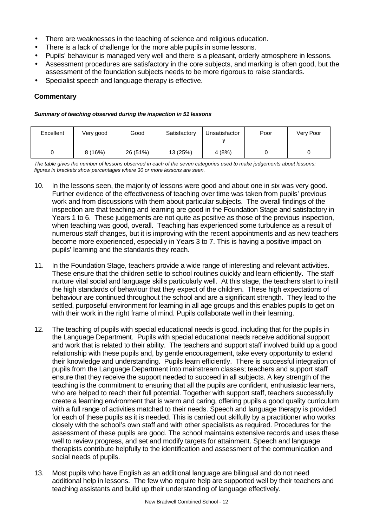- There are weaknesses in the teaching of science and religious education.
- There is a lack of challenge for the more able pupils in some lessons.
- Pupils' behaviour is managed very well and there is a pleasant, orderly atmosphere in lessons.
- Assessment procedures are satisfactory in the core subjects, and marking is often good, but the assessment of the foundation subjects needs to be more rigorous to raise standards.
- Specialist speech and language therapy is effective.

# **Commentary**

#### *Summary of teaching observed during the inspection in 51 lessons*

| Excellent | Very good | Good     | Satisfactory | Unsatisfactor | Poor | Very Poor |
|-----------|-----------|----------|--------------|---------------|------|-----------|
|           | 8(16%)    | 26 (51%) | 13 (25%)     | 4(8%)         |      |           |

*The table gives the number of lessons observed in each of the seven categories used to make judgements about lessons; figures in brackets show percentages where 30 or more lessons are seen.*

- 10. In the lessons seen, the majority of lessons were good and about one in six was very good. Further evidence of the effectiveness of teaching over time was taken from pupils' previous work and from discussions with them about particular subjects. The overall findings of the inspection are that teaching and learning are good in the Foundation Stage and satisfactory in Years 1 to 6. These judgements are not quite as positive as those of the previous inspection, when teaching was good, overall. Teaching has experienced some turbulence as a result of numerous staff changes, but it is improving with the recent appointments and as new teachers become more experienced, especially in Years 3 to 7. This is having a positive impact on pupils' learning and the standards they reach.
- 11. In the Foundation Stage, teachers provide a wide range of interesting and relevant activities. These ensure that the children settle to school routines quickly and learn efficiently. The staff nurture vital social and language skills particularly well. At this stage, the teachers start to instil the high standards of behaviour that they expect of the children. These high expectations of behaviour are continued throughout the school and are a significant strength. They lead to the settled, purposeful environment for learning in all age groups and this enables pupils to get on with their work in the right frame of mind. Pupils collaborate well in their learning.
- 12. The teaching of pupils with special educational needs is good, including that for the pupils in the Language Department. Pupils with special educational needs receive additional support and work that is related to their ability. The teachers and support staff involved build up a good relationship with these pupils and, by gentle encouragement, take every opportunity to extend their knowledge and understanding. Pupils learn efficiently. There is successful integration of pupils from the Language Department into mainstream classes; teachers and support staff ensure that they receive the support needed to succeed in all subjects. A key strength of the teaching is the commitment to ensuring that all the pupils are confident, enthusiastic learners, who are helped to reach their full potential. Together with support staff, teachers successfully create a learning environment that is warm and caring, offering pupils a good quality curriculum with a full range of activities matched to their needs. Speech and language therapy is provided for each of these pupils as it is needed. This is carried out skilfully by a practitioner who works closely with the school's own staff and with other specialists as required. Procedures for the assessment of these pupils are good. The school maintains extensive records and uses these well to review progress, and set and modify targets for attainment. Speech and language therapists contribute helpfully to the identification and assessment of the communication and social needs of pupils.
- 13. Most pupils who have English as an additional language are bilingual and do not need additional help in lessons. The few who require help are supported well by their teachers and teaching assistants and build up their understanding of language effectively.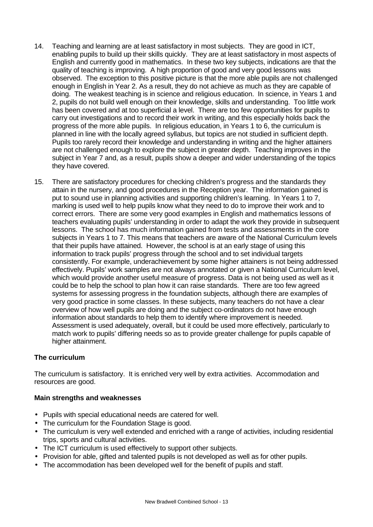- 14. Teaching and learning are at least satisfactory in most subjects. They are good in ICT, enabling pupils to build up their skills quickly. They are at least satisfactory in most aspects of English and currently good in mathematics. In these two key subjects, indications are that the quality of teaching is improving. A high proportion of good and very good lessons was observed. The exception to this positive picture is that the more able pupils are not challenged enough in English in Year 2. As a result, they do not achieve as much as they are capable of doing. The weakest teaching is in science and religious education. In science, in Years 1 and 2, pupils do not build well enough on their knowledge, skills and understanding. Too little work has been covered and at too superficial a level. There are too few opportunities for pupils to carry out investigations and to record their work in writing, and this especially holds back the progress of the more able pupils. In religious education, in Years 1 to 6, the curriculum is planned in line with the locally agreed syllabus, but topics are not studied in sufficient depth. Pupils too rarely record their knowledge and understanding in writing and the higher attainers are not challenged enough to explore the subject in greater depth. Teaching improves in the subject in Year 7 and, as a result, pupils show a deeper and wider understanding of the topics they have covered.
- 15. There are satisfactory procedures for checking children's progress and the standards they attain in the nursery, and good procedures in the Reception year. The information gained is put to sound use in planning activities and supporting children's learning. In Years 1 to 7, marking is used well to help pupils know what they need to do to improve their work and to correct errors. There are some very good examples in English and mathematics lessons of teachers evaluating pupils' understanding in order to adapt the work they provide in subsequent lessons. The school has much information gained from tests and assessments in the core subjects in Years 1 to 7. This means that teachers are aware of the National Curriculum levels that their pupils have attained. However, the school is at an early stage of using this information to track pupils' progress through the school and to set individual targets consistently. For example, underachievement by some higher attainers is not being addressed effectively. Pupils' work samples are not always annotated or given a National Curriculum level, which would provide another useful measure of progress. Data is not being used as well as it could be to help the school to plan how it can raise standards. There are too few agreed systems for assessing progress in the foundation subjects, although there are examples of very good practice in some classes. In these subjects, many teachers do not have a clear overview of how well pupils are doing and the subject co-ordinators do not have enough information about standards to help them to identify where improvement is needed. Assessment is used adequately, overall, but it could be used more effectively, particularly to match work to pupils' differing needs so as to provide greater challenge for pupils capable of higher attainment.

# **The curriculum**

The curriculum is satisfactory. It is enriched very well by extra activities. Accommodation and resources are good.

#### **Main strengths and weaknesses**

- Pupils with special educational needs are catered for well.
- The curriculum for the Foundation Stage is good.
- The curriculum is very well extended and enriched with a range of activities, including residential trips, sports and cultural activities.
- The ICT curriculum is used effectively to support other subjects.
- Provision for able, gifted and talented pupils is not developed as well as for other pupils.
- The accommodation has been developed well for the benefit of pupils and staff.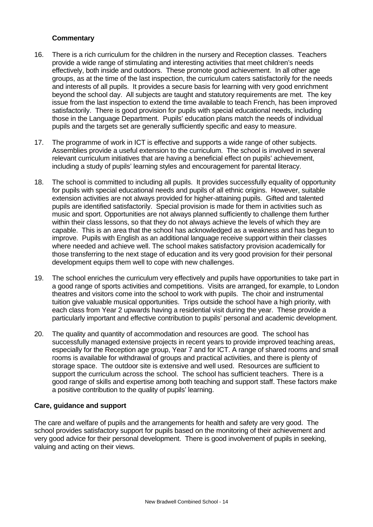#### **Commentary**

- 16. There is a rich curriculum for the children in the nursery and Reception classes. Teachers provide a wide range of stimulating and interesting activities that meet children's needs effectively, both inside and outdoors. These promote good achievement. In all other age groups, as at the time of the last inspection, the curriculum caters satisfactorily for the needs and interests of all pupils. It provides a secure basis for learning with very good enrichment beyond the school day. All subjects are taught and statutory requirements are met. The key issue from the last inspection to extend the time available to teach French, has been improved satisfactorily. There is good provision for pupils with special educational needs, including those in the Language Department. Pupils' education plans match the needs of individual pupils and the targets set are generally sufficiently specific and easy to measure.
- 17. The programme of work in ICT is effective and supports a wide range of other subjects. Assemblies provide a useful extension to the curriculum. The school is involved in several relevant curriculum initiatives that are having a beneficial effect on pupils' achievement, including a study of pupils' learning styles and encouragement for parental literacy.
- 18. The school is committed to including all pupils. It provides successfully equality of opportunity for pupils with special educational needs and pupils of all ethnic origins. However, suitable extension activities are not always provided for higher-attaining pupils. Gifted and talented pupils are identified satisfactorily. Special provision is made for them in activities such as music and sport. Opportunities are not always planned sufficiently to challenge them further within their class lessons, so that they do not always achieve the levels of which they are capable. This is an area that the school has acknowledged as a weakness and has begun to improve. Pupils with English as an additional language receive support within their classes where needed and achieve well. The school makes satisfactory provision academically for those transferring to the next stage of education and its very good provision for their personal development equips them well to cope with new challenges.
- 19. The school enriches the curriculum very effectively and pupils have opportunities to take part in a good range of sports activities and competitions. Visits are arranged, for example, to London theatres and visitors come into the school to work with pupils. The choir and instrumental tuition give valuable musical opportunities. Trips outside the school have a high priority, with each class from Year 2 upwards having a residential visit during the year. These provide a particularly important and effective contribution to pupils' personal and academic development.
- 20. The quality and quantity of accommodation and resources are good. The school has successfully managed extensive projects in recent years to provide improved teaching areas, especially for the Reception age group, Year 7 and for ICT. A range of shared rooms and small rooms is available for withdrawal of groups and practical activities, and there is plenty of storage space. The outdoor site is extensive and well used. Resources are sufficient to support the curriculum across the school. The school has sufficient teachers. There is a good range of skills and expertise among both teaching and support staff. These factors make a positive contribution to the quality of pupils' learning.

#### **Care, guidance and support**

The care and welfare of pupils and the arrangements for health and safety are very good. The school provides satisfactory support for pupils based on the monitoring of their achievement and very good advice for their personal development. There is good involvement of pupils in seeking, valuing and acting on their views.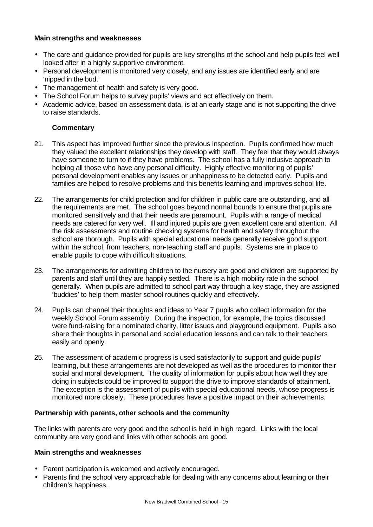#### **Main strengths and weaknesses**

- The care and guidance provided for pupils are key strengths of the school and help pupils feel well looked after in a highly supportive environment.
- Personal development is monitored very closely, and any issues are identified early and are 'nipped in the bud.'
- The management of health and safety is very good.
- The School Forum helps to survey pupils' views and act effectively on them.
- Academic advice, based on assessment data, is at an early stage and is not supporting the drive to raise standards.

#### **Commentary**

- 21. This aspect has improved further since the previous inspection. Pupils confirmed how much they valued the excellent relationships they develop with staff. They feel that they would always have someone to turn to if they have problems. The school has a fully inclusive approach to helping all those who have any personal difficulty. Highly effective monitoring of pupils' personal development enables any issues or unhappiness to be detected early. Pupils and families are helped to resolve problems and this benefits learning and improves school life.
- 22. The arrangements for child protection and for children in public care are outstanding, and all the requirements are met. The school goes beyond normal bounds to ensure that pupils are monitored sensitively and that their needs are paramount. Pupils with a range of medical needs are catered for very well. Ill and injured pupils are given excellent care and attention. All the risk assessments and routine checking systems for health and safety throughout the school are thorough. Pupils with special educational needs generally receive good support within the school, from teachers, non-teaching staff and pupils. Systems are in place to enable pupils to cope with difficult situations.
- 23. The arrangements for admitting children to the nursery are good and children are supported by parents and staff until they are happily settled. There is a high mobility rate in the school generally. When pupils are admitted to school part way through a key stage, they are assigned 'buddies' to help them master school routines quickly and effectively.
- 24. Pupils can channel their thoughts and ideas to Year 7 pupils who collect information for the weekly School Forum assembly. During the inspection, for example, the topics discussed were fund-raising for a nominated charity, litter issues and playground equipment. Pupils also share their thoughts in personal and social education lessons and can talk to their teachers easily and openly.
- 25. The assessment of academic progress is used satisfactorily to support and guide pupils' learning, but these arrangements are not developed as well as the procedures to monitor their social and moral development. The quality of information for pupils about how well they are doing in subjects could be improved to support the drive to improve standards of attainment. The exception is the assessment of pupils with special educational needs, whose progress is monitored more closely. These procedures have a positive impact on their achievements.

#### **Partnership with parents, other schools and the community**

The links with parents are very good and the school is held in high regard. Links with the local community are very good and links with other schools are good.

#### **Main strengths and weaknesses**

- Parent participation is welcomed and actively encouraged.
- Parents find the school very approachable for dealing with any concerns about learning or their children's happiness.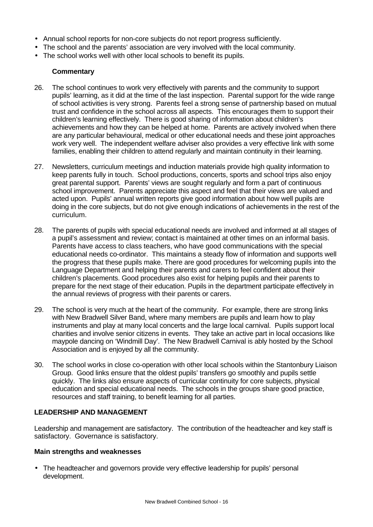- Annual school reports for non-core subjects do not report progress sufficiently.
- The school and the parents' association are very involved with the local community.
- The school works well with other local schools to benefit its pupils.

### **Commentary**

- 26. The school continues to work very effectively with parents and the community to support pupils' learning, as it did at the time of the last inspection. Parental support for the wide range of school activities is very strong. Parents feel a strong sense of partnership based on mutual trust and confidence in the school across all aspects. This encourages them to support their children's learning effectively. There is good sharing of information about children's achievements and how they can be helped at home. Parents are actively involved when there are any particular behavioural, medical or other educational needs and these joint approaches work very well. The independent welfare adviser also provides a very effective link with some families, enabling their children to attend regularly and maintain continuity in their learning.
- 27. Newsletters, curriculum meetings and induction materials provide high quality information to keep parents fully in touch. School productions, concerts, sports and school trips also enjoy great parental support. Parents' views are sought regularly and form a part of continuous school improvement. Parents appreciate this aspect and feel that their views are valued and acted upon. Pupils' annual written reports give good information about how well pupils are doing in the core subjects, but do not give enough indications of achievements in the rest of the curriculum.
- 28. The parents of pupils with special educational needs are involved and informed at all stages of a pupil's assessment and review; contact is maintained at other times on an informal basis. Parents have access to class teachers, who have good communications with the special educational needs co-ordinator. This maintains a steady flow of information and supports well the progress that these pupils make. There are good procedures for welcoming pupils into the Language Department and helping their parents and carers to feel confident about their children's placements. Good procedures also exist for helping pupils and their parents to prepare for the next stage of their education. Pupils in the department participate effectively in the annual reviews of progress with their parents or carers.
- 29. The school is very much at the heart of the community. For example, there are strong links with New Bradwell Silver Band, where many members are pupils and learn how to play instruments and play at many local concerts and the large local carnival. Pupils support local charities and involve senior citizens in events. They take an active part in local occasions like maypole dancing on 'Windmill Day'. The New Bradwell Carnival is ably hosted by the School Association and is enjoyed by all the community.
- 30. The school works in close co-operation with other local schools within the Stantonbury Liaison Group. Good links ensure that the oldest pupils' transfers go smoothly and pupils settle quickly. The links also ensure aspects of curricular continuity for core subjects, physical education and special educational needs. The schools in the groups share good practice, resources and staff training, to benefit learning for all parties.

# **LEADERSHIP AND MANAGEMENT**

Leadership and management are satisfactory. The contribution of the headteacher and key staff is satisfactory. Governance is satisfactory.

#### **Main strengths and weaknesses**

• The headteacher and governors provide very effective leadership for pupils' personal development.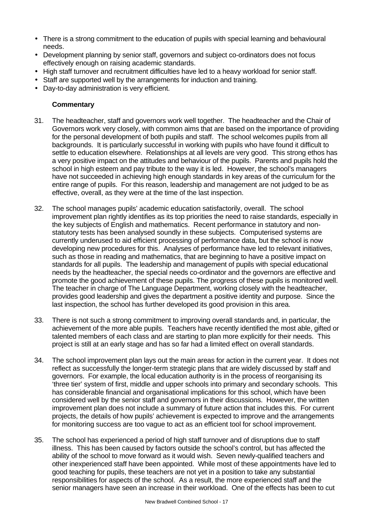- There is a strong commitment to the education of pupils with special learning and behavioural needs.
- Development planning by senior staff, governors and subject co-ordinators does not focus effectively enough on raising academic standards.
- High staff turnover and recruitment difficulties have led to a heavy workload for senior staff.
- Staff are supported well by the arrangements for induction and training.
- Day-to-day administration is very efficient.

# **Commentary**

- 31. The headteacher, staff and governors work well together. The headteacher and the Chair of Governors work very closely, with common aims that are based on the importance of providing for the personal development of both pupils and staff. The school welcomes pupils from all backgrounds. It is particularly successful in working with pupils who have found it difficult to settle to education elsewhere. Relationships at all levels are very good. This strong ethos has a very positive impact on the attitudes and behaviour of the pupils. Parents and pupils hold the school in high esteem and pay tribute to the way it is led. However, the school's managers have not succeeded in achieving high enough standards in key areas of the curriculum for the entire range of pupils. For this reason, leadership and management are not judged to be as effective, overall, as they were at the time of the last inspection.
- 32. The school manages pupils' academic education satisfactorily, overall. The school improvement plan rightly identifies as its top priorities the need to raise standards, especially in the key subjects of English and mathematics. Recent performance in statutory and nonstatutory tests has been analysed soundly in these subjects. Computerised systems are currently underused to aid efficient processing of performance data, but the school is now developing new procedures for this. Analyses of performance have led to relevant initiatives, such as those in reading and mathematics, that are beginning to have a positive impact on standards for all pupils. The leadership and management of pupils with special educational needs by the headteacher, the special needs co-ordinator and the governors are effective and promote the good achievement of these pupils. The progress of these pupils is monitored well. The teacher in charge of The Language Department, working closely with the headteacher, provides good leadership and gives the department a positive identity and purpose. Since the last inspection, the school has further developed its good provision in this area.
- 33. There is not such a strong commitment to improving overall standards and, in particular, the achievement of the more able pupils. Teachers have recently identified the most able, gifted or talented members of each class and are starting to plan more explicitly for their needs. This project is still at an early stage and has so far had a limited effect on overall standards.
- 34. The school improvement plan lays out the main areas for action in the current year. It does not reflect as successfully the longer-term strategic plans that are widely discussed by staff and governors. For example, the local education authority is in the process of reorganising its 'three tier' system of first, middle and upper schools into primary and secondary schools. This has considerable financial and organisational implications for this school, which have been considered well by the senior staff and governors in their discussions. However, the written improvement plan does not include a summary of future action that includes this. For current projects, the details of how pupils' achievement is expected to improve and the arrangements for monitoring success are too vague to act as an efficient tool for school improvement.
- 35. The school has experienced a period of high staff turnover and of disruptions due to staff illness. This has been caused by factors outside the school's control, but has affected the ability of the school to move forward as it would wish. Seven newly-qualified teachers and other inexperienced staff have been appointed. While most of these appointments have led to good teaching for pupils, these teachers are not yet in a position to take any substantial responsibilities for aspects of the school. As a result, the more experienced staff and the senior managers have seen an increase in their workload. One of the effects has been to cut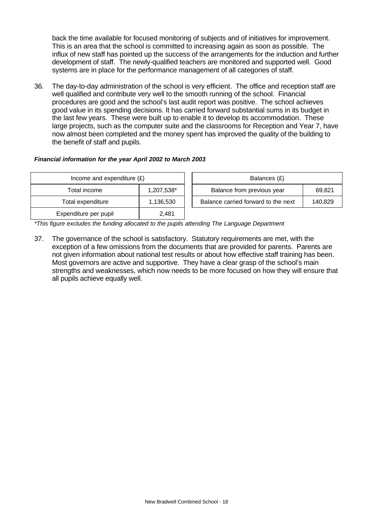back the time available for focused monitoring of subjects and of initiatives for improvement. This is an area that the school is committed to increasing again as soon as possible. The influx of new staff has pointed up the success of the arrangements for the induction and further development of staff. The newly-qualified teachers are monitored and supported well. Good systems are in place for the performance management of all categories of staff.

36. The day-to-day administration of the school is very efficient. The office and reception staff are well qualified and contribute very well to the smooth running of the school. Financial procedures are good and the school's last audit report was positive. The school achieves good value in its spending decisions. It has carried forward substantial sums in its budget in the last few years. These were built up to enable it to develop its accommodation. These large projects, such as the computer suite and the classrooms for Reception and Year 7, have now almost been completed and the money spent has improved the quality of the building to the benefit of staff and pupils.

#### *Financial information for the year April 2002 to March 2003*

| Income and expenditure $(E)$ |            | Balances (£)                                   |  |  |
|------------------------------|------------|------------------------------------------------|--|--|
| Total income                 | 1,207,538* | Balance from previous year<br>69,821           |  |  |
| Total expenditure            | 1,136,530  | Balance carried forward to the next<br>140.829 |  |  |
| Expenditure per pupil        | 2.481      |                                                |  |  |

*\*This figure excludes the funding allocated to the pupils attending The Language Department*

37. The governance of the school is satisfactory. Statutory requirements are met, with the exception of a few omissions from the documents that are provided for parents. Parents are not given information about national test results or about how effective staff training has been. Most governors are active and supportive. They have a clear grasp of the school's main strengths and weaknesses, which now needs to be more focused on how they will ensure that all pupils achieve equally well.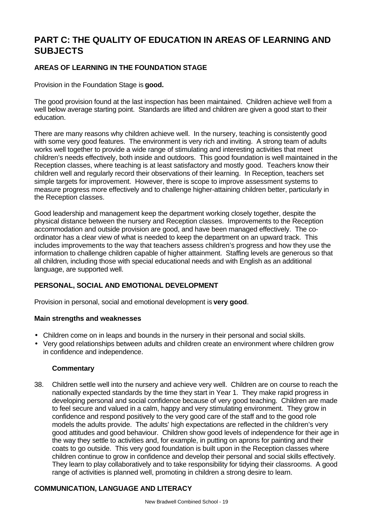# **PART C: THE QUALITY OF EDUCATION IN AREAS OF LEARNING AND SUBJECTS**

# **AREAS OF LEARNING IN THE FOUNDATION STAGE**

Provision in the Foundation Stage is **good.**

The good provision found at the last inspection has been maintained. Children achieve well from a well below average starting point. Standards are lifted and children are given a good start to their education.

There are many reasons why children achieve well. In the nursery, teaching is consistently good with some very good features. The environment is very rich and inviting. A strong team of adults works well together to provide a wide range of stimulating and interesting activities that meet children's needs effectively, both inside and outdoors. This good foundation is well maintained in the Reception classes, where teaching is at least satisfactory and mostly good. Teachers know their children well and regularly record their observations of their learning. In Reception, teachers set simple targets for improvement. However, there is scope to improve assessment systems to measure progress more effectively and to challenge higher-attaining children better, particularly in the Reception classes.

Good leadership and management keep the department working closely together, despite the physical distance between the nursery and Reception classes. Improvements to the Reception accommodation and outside provision are good, and have been managed effectively. The coordinator has a clear view of what is needed to keep the department on an upward track. This includes improvements to the way that teachers assess children's progress and how they use the information to challenge children capable of higher attainment. Staffing levels are generous so that all children, including those with special educational needs and with English as an additional language, are supported well.

# **PERSONAL, SOCIAL AND EMOTIONAL DEVELOPMENT**

Provision in personal, social and emotional development is **very good**.

#### **Main strengths and weaknesses**

- Children come on in leaps and bounds in the nursery in their personal and social skills.
- Very good relationships between adults and children create an environment where children grow in confidence and independence.

#### **Commentary**

38. Children settle well into the nursery and achieve very well. Children are on course to reach the nationally expected standards by the time they start in Year 1. They make rapid progress in developing personal and social confidence because of very good teaching. Children are made to feel secure and valued in a calm, happy and very stimulating environment. They grow in confidence and respond positively to the very good care of the staff and to the good role models the adults provide. The adults' high expectations are reflected in the children's very good attitudes and good behaviour. Children show good levels of independence for their age in the way they settle to activities and, for example, in putting on aprons for painting and their coats to go outside. This very good foundation is built upon in the Reception classes where children continue to grow in confidence and develop their personal and social skills effectively. They learn to play collaboratively and to take responsibility for tidying their classrooms. A good range of activities is planned well, promoting in children a strong desire to learn.

# **COMMUNICATION, LANGUAGE AND LITERACY**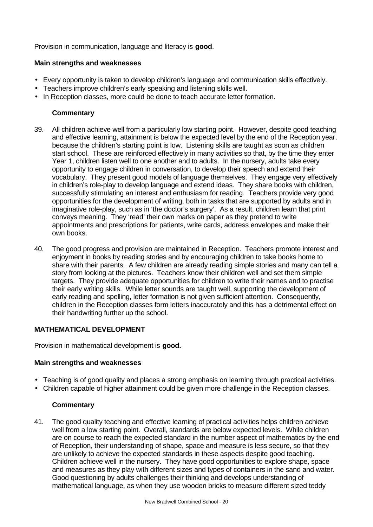Provision in communication, language and literacy is **good**.

### **Main strengths and weaknesses**

- Every opportunity is taken to develop children's language and communication skills effectively.
- Teachers improve children's early speaking and listening skills well.
- In Reception classes, more could be done to teach accurate letter formation.

### **Commentary**

- 39. All children achieve well from a particularly low starting point. However, despite good teaching and effective learning, attainment is below the expected level by the end of the Reception year, because the children's starting point is low. Listening skills are taught as soon as children start school. These are reinforced effectively in many activities so that, by the time they enter Year 1, children listen well to one another and to adults. In the nursery, adults take every opportunity to engage children in conversation, to develop their speech and extend their vocabulary. They present good models of language themselves. They engage very effectively in children's role-play to develop language and extend ideas. They share books with children, successfully stimulating an interest and enthusiasm for reading. Teachers provide very good opportunities for the development of writing, both in tasks that are supported by adults and in imaginative role-play, such as in 'the doctor's surgery'. As a result, children learn that print conveys meaning. They 'read' their own marks on paper as they pretend to write appointments and prescriptions for patients, write cards, address envelopes and make their own books.
- 40. The good progress and provision are maintained in Reception. Teachers promote interest and enjoyment in books by reading stories and by encouraging children to take books home to share with their parents. A few children are already reading simple stories and many can tell a story from looking at the pictures. Teachers know their children well and set them simple targets. They provide adequate opportunities for children to write their names and to practise their early writing skills. While letter sounds are taught well, supporting the development of early reading and spelling, letter formation is not given sufficient attention. Consequently, children in the Reception classes form letters inaccurately and this has a detrimental effect on their handwriting further up the school.

# **MATHEMATICAL DEVELOPMENT**

Provision in mathematical development is **good.**

#### **Main strengths and weaknesses**

- Teaching is of good quality and places a strong emphasis on learning through practical activities.
- Children capable of higher attainment could be given more challenge in the Reception classes.

# **Commentary**

41. The good quality teaching and effective learning of practical activities helps children achieve well from a low starting point. Overall, standards are below expected levels. While children are on course to reach the expected standard in the number aspect of mathematics by the end of Reception, their understanding of shape, space and measure is less secure, so that they are unlikely to achieve the expected standards in these aspects despite good teaching. Children achieve well in the nursery. They have good opportunities to explore shape, space and measures as they play with different sizes and types of containers in the sand and water. Good questioning by adults challenges their thinking and develops understanding of mathematical language, as when they use wooden bricks to measure different sized teddy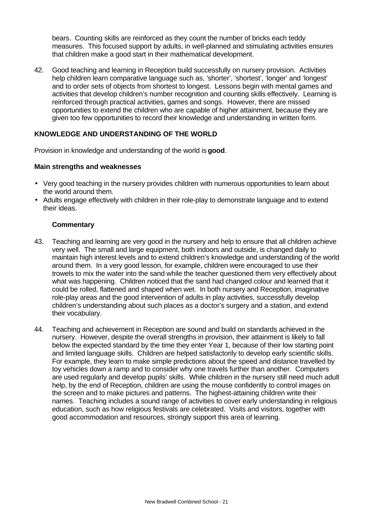bears. Counting skills are reinforced as they count the number of bricks each teddy measures. This focused support by adults, in well-planned and stimulating activities ensures that children make a good start in their mathematical development.

42. Good teaching and learning in Reception build successfully on nursery provision. Activities help children learn comparative language such as, 'shorter', 'shortest', 'longer' and 'longest' and to order sets of objects from shortest to longest. Lessons begin with mental games and activities that develop children's number recognition and counting skills effectively. Learning is reinforced through practical activities, games and songs. However, there are missed opportunities to extend the children who are capable of higher attainment, because they are given too few opportunities to record their knowledge and understanding in written form.

#### **KNOWLEDGE AND UNDERSTANDING OF THE WORLD**

Provision in knowledge and understanding of the world is **good**.

#### **Main strengths and weaknesses**

- Very good teaching in the nursery provides children with numerous opportunities to learn about the world around them.
- Adults engage effectively with children in their role-play to demonstrate language and to extend their ideas.

#### **Commentary**

- 43. Teaching and learning are very good in the nursery and help to ensure that all children achieve very well. The small and large equipment, both indoors and outside, is changed daily to maintain high interest levels and to extend children's knowledge and understanding of the world around them. In a very good lesson, for example, children were encouraged to use their trowels to mix the water into the sand while the teacher questioned them very effectively about what was happening. Children noticed that the sand had changed colour and learned that it could be rolled, flattened and shaped when wet. In both nursery and Reception, imaginative role-play areas and the good intervention of adults in play activities, successfully develop children's understanding about such places as a doctor's surgery and a station, and extend their vocabulary.
- 44. Teaching and achievement in Reception are sound and build on standards achieved in the nursery. However, despite the overall strengths in provision, their attainment is likely to fall below the expected standard by the time they enter Year 1, because of their low starting point and limited language skills. Children are helped satisfactorily to develop early scientific skills. For example, they learn to make simple predictions about the speed and distance travelled by toy vehicles down a ramp and to consider why one travels further than another. Computers are used regularly and develop pupils' skills. While children in the nursery still need much adult help, by the end of Reception, children are using the mouse confidently to control images on the screen and to make pictures and patterns. The highest-attaining children write their names. Teaching includes a sound range of activities to cover early understanding in religious education, such as how religious festivals are celebrated. Visits and visitors, together with good accommodation and resources, strongly support this area of learning.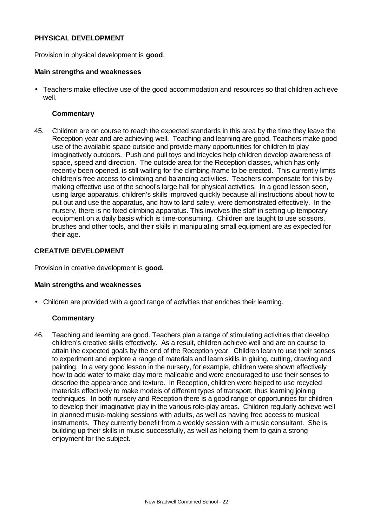#### **PHYSICAL DEVELOPMENT**

Provision in physical development is **good**.

#### **Main strengths and weaknesses**

• Teachers make effective use of the good accommodation and resources so that children achieve well.

#### **Commentary**

45. Children are on course to reach the expected standards in this area by the time they leave the Reception year and are achieving well. Teaching and learning are good. Teachers make good use of the available space outside and provide many opportunities for children to play imaginatively outdoors. Push and pull toys and tricycles help children develop awareness of space, speed and direction. The outside area for the Reception classes, which has only recently been opened, is still waiting for the climbing-frame to be erected. This currently limits children's free access to climbing and balancing activities. Teachers compensate for this by making effective use of the school's large hall for physical activities. In a good lesson seen, using large apparatus, children's skills improved quickly because all instructions about how to put out and use the apparatus, and how to land safely, were demonstrated effectively. In the nursery, there is no fixed climbing apparatus. This involves the staff in setting up temporary equipment on a daily basis which is time-consuming. Children are taught to use scissors, brushes and other tools, and their skills in manipulating small equipment are as expected for their age.

#### **CREATIVE DEVELOPMENT**

Provision in creative development is **good.**

#### **Main strengths and weaknesses**

• Children are provided with a good range of activities that enriches their learning.

#### **Commentary**

46. Teaching and learning are good. Teachers plan a range of stimulating activities that develop children's creative skills effectively. As a result, children achieve well and are on course to attain the expected goals by the end of the Reception year. Children learn to use their senses to experiment and explore a range of materials and learn skills in gluing, cutting, drawing and painting. In a very good lesson in the nursery, for example, children were shown effectively how to add water to make clay more malleable and were encouraged to use their senses to describe the appearance and texture. In Reception, children were helped to use recycled materials effectively to make models of different types of transport, thus learning joining techniques. In both nursery and Reception there is a good range of opportunities for children to develop their imaginative play in the various role-play areas. Children regularly achieve well in planned music-making sessions with adults, as well as having free access to musical instruments. They currently benefit from a weekly session with a music consultant. She is building up their skills in music successfully, as well as helping them to gain a strong enjoyment for the subject.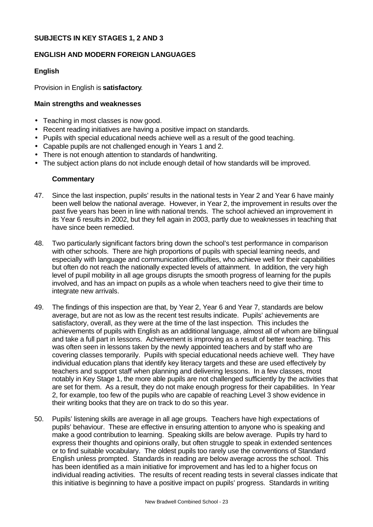#### **SUBJECTS IN KEY STAGES 1, 2 AND 3**

#### **ENGLISH AND MODERN FOREIGN LANGUAGES**

#### **English**

Provision in English is **satisfactory**.

#### **Main strengths and weaknesses**

- Teaching in most classes is now good.
- Recent reading initiatives are having a positive impact on standards.
- Pupils with special educational needs achieve well as a result of the good teaching.
- Capable pupils are not challenged enough in Years 1 and 2.
- There is not enough attention to standards of handwriting.
- The subject action plans do not include enough detail of how standards will be improved.

#### **Commentary**

- 47. Since the last inspection, pupils' results in the national tests in Year 2 and Year 6 have mainly been well below the national average. However, in Year 2, the improvement in results over the past five years has been in line with national trends. The school achieved an improvement in its Year 6 results in 2002, but they fell again in 2003, partly due to weaknesses in teaching that have since been remedied.
- 48. Two particularly significant factors bring down the school's test performance in comparison with other schools. There are high proportions of pupils with special learning needs, and especially with language and communication difficulties, who achieve well for their capabilities but often do not reach the nationally expected levels of attainment. In addition, the very high level of pupil mobility in all age groups disrupts the smooth progress of learning for the pupils involved, and has an impact on pupils as a whole when teachers need to give their time to integrate new arrivals.
- 49. The findings of this inspection are that, by Year 2, Year 6 and Year 7, standards are below average, but are not as low as the recent test results indicate. Pupils' achievements are satisfactory, overall, as they were at the time of the last inspection. This includes the achievements of pupils with English as an additional language, almost all of whom are bilingual and take a full part in lessons. Achievement is improving as a result of better teaching. This was often seen in lessons taken by the newly appointed teachers and by staff who are covering classes temporarily. Pupils with special educational needs achieve well. They have individual education plans that identify key literacy targets and these are used effectively by teachers and support staff when planning and delivering lessons. In a few classes, most notably in Key Stage 1, the more able pupils are not challenged sufficiently by the activities that are set for them. As a result, they do not make enough progress for their capabilities. In Year 2, for example, too few of the pupils who are capable of reaching Level 3 show evidence in their writing books that they are on track to do so this year.
- 50. Pupils' listening skills are average in all age groups. Teachers have high expectations of pupils' behaviour. These are effective in ensuring attention to anyone who is speaking and make a good contribution to learning. Speaking skills are below average. Pupils try hard to express their thoughts and opinions orally, but often struggle to speak in extended sentences or to find suitable vocabulary. The oldest pupils too rarely use the conventions of Standard English unless prompted. Standards in reading are below average across the school. This has been identified as a main initiative for improvement and has led to a higher focus on individual reading activities. The results of recent reading tests in several classes indicate that this initiative is beginning to have a positive impact on pupils' progress. Standards in writing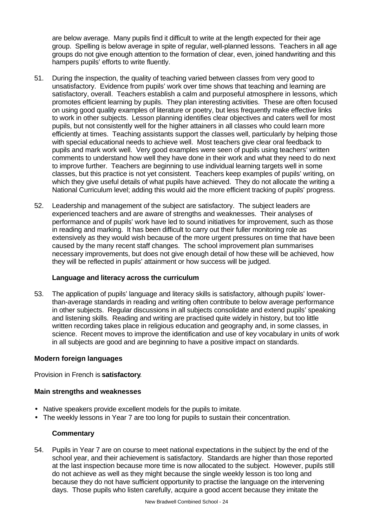are below average. Many pupils find it difficult to write at the length expected for their age group. Spelling is below average in spite of regular, well-planned lessons. Teachers in all age groups do not give enough attention to the formation of clear, even, joined handwriting and this hampers pupils' efforts to write fluently.

- 51. During the inspection, the quality of teaching varied between classes from very good to unsatisfactory. Evidence from pupils' work over time shows that teaching and learning are satisfactory, overall. Teachers establish a calm and purposeful atmosphere in lessons, which promotes efficient learning by pupils. They plan interesting activities. These are often focused on using good quality examples of literature or poetry, but less frequently make effective links to work in other subjects. Lesson planning identifies clear objectives and caters well for most pupils, but not consistently well for the higher attainers in all classes who could learn more efficiently at times. Teaching assistants support the classes well, particularly by helping those with special educational needs to achieve well. Most teachers give clear oral feedback to pupils and mark work well. Very good examples were seen of pupils using teachers' written comments to understand how well they have done in their work and what they need to do next to improve further. Teachers are beginning to use individual learning targets well in some classes, but this practice is not yet consistent. Teachers keep examples of pupils' writing, on which they give useful details of what pupils have achieved. They do not allocate the writing a National Curriculum level; adding this would aid the more efficient tracking of pupils' progress.
- 52. Leadership and management of the subject are satisfactory. The subject leaders are experienced teachers and are aware of strengths and weaknesses. Their analyses of performance and of pupils' work have led to sound initiatives for improvement, such as those in reading and marking. It has been difficult to carry out their fuller monitoring role as extensively as they would wish because of the more urgent pressures on time that have been caused by the many recent staff changes. The school improvement plan summarises necessary improvements, but does not give enough detail of how these will be achieved, how they will be reflected in pupils' attainment or how success will be judged.

#### **Language and literacy across the curriculum**

53. The application of pupils' language and literacy skills is satisfactory, although pupils' lowerthan-average standards in reading and writing often contribute to below average performance in other subjects. Regular discussions in all subjects consolidate and extend pupils' speaking and listening skills. Reading and writing are practised quite widely in history, but too little written recording takes place in religious education and geography and, in some classes, in science. Recent moves to improve the identification and use of key vocabulary in units of work in all subjects are good and are beginning to have a positive impact on standards.

# **Modern foreign languages**

Provision in French is **satisfactory**.

# **Main strengths and weaknesses**

- Native speakers provide excellent models for the pupils to imitate.
- The weekly lessons in Year 7 are too long for pupils to sustain their concentration.

#### **Commentary**

54. Pupils in Year 7 are on course to meet national expectations in the subject by the end of the school year, and their achievement is satisfactory. Standards are higher than those reported at the last inspection because more time is now allocated to the subject. However, pupils still do not achieve as well as they might because the single weekly lesson is too long and because they do not have sufficient opportunity to practise the language on the intervening days. Those pupils who listen carefully, acquire a good accent because they imitate the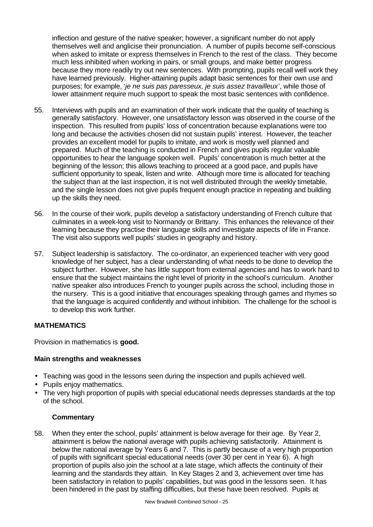inflection and gesture of the native speaker; however, a significant number do not apply themselves well and anglicise their pronunciation. A number of pupils become self-conscious when asked to imitate or express themselves in French to the rest of the class. They become much less inhibited when working in pairs, or small groups, and make better progress because they more readily try out new sentences. With prompting, pupils recall well work they have learned previously. Higher-attaining pupils adapt basic sentences for their own use and purposes; for example, '*je ne suis pas paresseux, je suis assez travailleux*', while those of lower attainment require much support to speak the most basic sentences with confidence.

- 55. Interviews with pupils and an examination of their work indicate that the quality of teaching is generally satisfactory. However, one unsatisfactory lesson was observed in the course of the inspection. This resulted from pupils' loss of concentration because explanations were too long and because the activities chosen did not sustain pupils' interest. However, the teacher provides an excellent model for pupils to imitate, and work is mostly well planned and prepared. Much of the teaching is conducted in French and gives pupils regular valuable opportunities to hear the language spoken well. Pupils' concentration is much better at the beginning of the lesson; this allows teaching to proceed at a good pace, and pupils have sufficient opportunity to speak, listen and write. Although more time is allocated for teaching the subject than at the last inspection, it is not well distributed through the weekly timetable, and the single lesson does not give pupils frequent enough practice in repeating and building up the skills they need.
- 56. In the course of their work, pupils develop a satisfactory understanding of French culture that culminates in a week-long visit to Normandy or Brittany. This enhances the relevance of their learning because they practise their language skills and investigate aspects of life in France. The visit also supports well pupils' studies in geography and history.
- 57. Subject leadership is satisfactory. The co-ordinator, an experienced teacher with very good knowledge of her subject, has a clear understanding of what needs to be done to develop the subject further. However, she has little support from external agencies and has to work hard to ensure that the subject maintains the right level of priority in the school's curriculum. Another native speaker also introduces French to younger pupils across the school, including those in the nursery. This is a good initiative that encourages speaking through games and rhymes so that the language is acquired confidently and without inhibition. The challenge for the school is to develop this work further.

# **MATHEMATICS**

Provision in mathematics is **good.**

#### **Main strengths and weaknesses**

- Teaching was good in the lessons seen during the inspection and pupils achieved well.
- Pupils enjoy mathematics.
- The very high proportion of pupils with special educational needs depresses standards at the top of the school.

#### **Commentary**

58. When they enter the school, pupils' attainment is below average for their age. By Year 2, attainment is below the national average with pupils achieving satisfactorily. Attainment is below the national average by Years 6 and 7. This is partly because of a very high proportion of pupils with significant special educational needs (over 30 per cent in Year 6). A high proportion of pupils also join the school at a late stage, which affects the continuity of their learning and the standards they attain. In Key Stages 2 and 3, achievement over time has been satisfactory in relation to pupils' capabilities, but was good in the lessons seen. It has been hindered in the past by staffing difficulties, but these have been resolved. Pupils at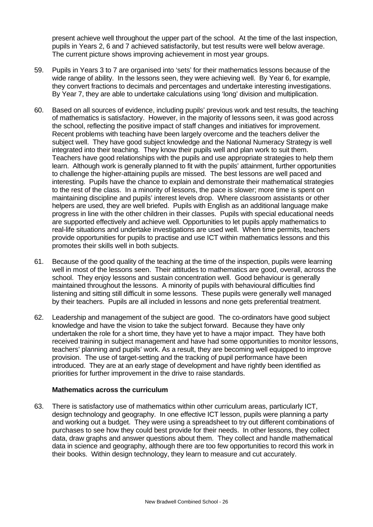present achieve well throughout the upper part of the school. At the time of the last inspection, pupils in Years 2, 6 and 7 achieved satisfactorily, but test results were well below average. The current picture shows improving achievement in most year groups.

- 59. Pupils in Years 3 to 7 are organised into 'sets' for their mathematics lessons because of the wide range of ability. In the lessons seen, they were achieving well. By Year 6, for example, they convert fractions to decimals and percentages and undertake interesting investigations. By Year 7, they are able to undertake calculations using 'long' division and multiplication.
- 60. Based on all sources of evidence, including pupils' previous work and test results, the teaching of mathematics is satisfactory. However, in the majority of lessons seen, it was good across the school, reflecting the positive impact of staff changes and initiatives for improvement. Recent problems with teaching have been largely overcome and the teachers deliver the subject well. They have good subject knowledge and the National Numeracy Strategy is well integrated into their teaching. They know their pupils well and plan work to suit them. Teachers have good relationships with the pupils and use appropriate strategies to help them learn. Although work is generally planned to fit with the pupils' attainment, further opportunities to challenge the higher-attaining pupils are missed. The best lessons are well paced and interesting. Pupils have the chance to explain and demonstrate their mathematical strategies to the rest of the class. In a minority of lessons, the pace is slower; more time is spent on maintaining discipline and pupils' interest levels drop. Where classroom assistants or other helpers are used, they are well briefed. Pupils with English as an additional language make progress in line with the other children in their classes. Pupils with special educational needs are supported effectively and achieve well. Opportunities to let pupils apply mathematics to real-life situations and undertake investigations are used well. When time permits, teachers provide opportunities for pupils to practise and use ICT within mathematics lessons and this promotes their skills well in both subjects.
- 61. Because of the good quality of the teaching at the time of the inspection, pupils were learning well in most of the lessons seen. Their attitudes to mathematics are good, overall, across the school. They enjoy lessons and sustain concentration well. Good behaviour is generally maintained throughout the lessons. A minority of pupils with behavioural difficulties find listening and sitting still difficult in some lessons. These pupils were generally well managed by their teachers. Pupils are all included in lessons and none gets preferential treatment.
- 62. Leadership and management of the subject are good. The co-ordinators have good subject knowledge and have the vision to take the subject forward. Because they have only undertaken the role for a short time, they have yet to have a major impact. They have both received training in subject management and have had some opportunities to monitor lessons, teachers' planning and pupils' work. As a result, they are becoming well equipped to improve provision. The use of target-setting and the tracking of pupil performance have been introduced. They are at an early stage of development and have rightly been identified as priorities for further improvement in the drive to raise standards.

#### **Mathematics across the curriculum**

63. There is satisfactory use of mathematics within other curriculum areas, particularly ICT, design technology and geography. In one effective ICT lesson, pupils were planning a party and working out a budget. They were using a spreadsheet to try out different combinations of purchases to see how they could best provide for their needs. In other lessons, they collect data, draw graphs and answer questions about them. They collect and handle mathematical data in science and geography, although there are too few opportunities to record this work in their books. Within design technology, they learn to measure and cut accurately.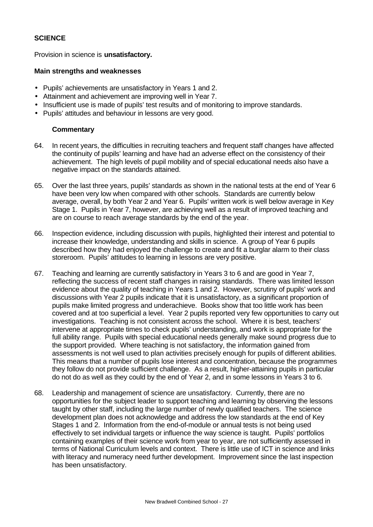### **SCIENCE**

Provision in science is **unsatisfactory.**

#### **Main strengths and weaknesses**

- Pupils' achievements are unsatisfactory in Years 1 and 2.
- Attainment and achievement are improving well in Year 7.
- Insufficient use is made of pupils' test results and of monitoring to improve standards.
- Pupils' attitudes and behaviour in lessons are very good.

#### **Commentary**

- 64. In recent years, the difficulties in recruiting teachers and frequent staff changes have affected the continuity of pupils' learning and have had an adverse effect on the consistency of their achievement. The high levels of pupil mobility and of special educational needs also have a negative impact on the standards attained.
- 65. Over the last three years, pupils' standards as shown in the national tests at the end of Year 6 have been very low when compared with other schools. Standards are currently below average, overall, by both Year 2 and Year 6. Pupils' written work is well below average in Key Stage 1. Pupils in Year 7, however, are achieving well as a result of improved teaching and are on course to reach average standards by the end of the year.
- 66. Inspection evidence, including discussion with pupils, highlighted their interest and potential to increase their knowledge, understanding and skills in science. A group of Year 6 pupils described how they had enjoyed the challenge to create and fit a burglar alarm to their class storeroom. Pupils' attitudes to learning in lessons are very positive.
- 67. Teaching and learning are currently satisfactory in Years 3 to 6 and are good in Year 7, reflecting the success of recent staff changes in raising standards. There was limited lesson evidence about the quality of teaching in Years 1 and 2. However, scrutiny of pupils' work and discussions with Year 2 pupils indicate that it is unsatisfactory, as a significant proportion of pupils make limited progress and underachieve. Books show that too little work has been covered and at too superficial a level. Year 2 pupils reported very few opportunities to carry out investigations. Teaching is not consistent across the school. Where it is best, teachers' intervene at appropriate times to check pupils' understanding, and work is appropriate for the full ability range. Pupils with special educational needs generally make sound progress due to the support provided. Where teaching is not satisfactory, the information gained from assessments is not well used to plan activities precisely enough for pupils of different abilities. This means that a number of pupils lose interest and concentration, because the programmes they follow do not provide sufficient challenge. As a result, higher-attaining pupils in particular do not do as well as they could by the end of Year 2, and in some lessons in Years 3 to 6.
- 68. Leadership and management of science are unsatisfactory. Currently, there are no opportunities for the subject leader to support teaching and learning by observing the lessons taught by other staff, including the large number of newly qualified teachers. The science development plan does not acknowledge and address the low standards at the end of Key Stages 1 and 2. Information from the end-of-module or annual tests is not being used effectively to set individual targets or influence the way science is taught. Pupils' portfolios containing examples of their science work from year to year, are not sufficiently assessed in terms of National Curriculum levels and context. There is little use of ICT in science and links with literacy and numeracy need further development. Improvement since the last inspection has been unsatisfactory.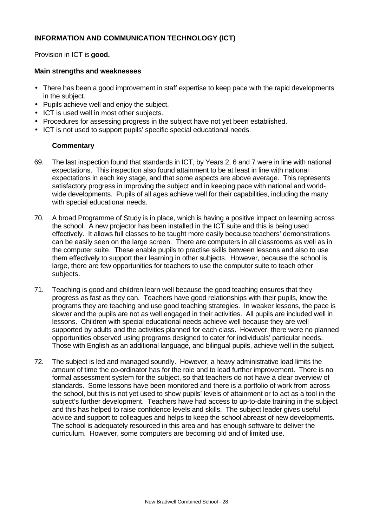# **INFORMATION AND COMMUNICATION TECHNOLOGY (ICT)**

Provision in ICT is **good.**

#### **Main strengths and weaknesses**

- There has been a good improvement in staff expertise to keep pace with the rapid developments in the subject.
- Pupils achieve well and enjoy the subject.
- ICT is used well in most other subjects.
- Procedures for assessing progress in the subject have not yet been established.
- ICT is not used to support pupils' specific special educational needs.

#### **Commentary**

- 69. The last inspection found that standards in ICT, by Years 2, 6 and 7 were in line with national expectations. This inspection also found attainment to be at least in line with national expectations in each key stage, and that some aspects are above average. This represents satisfactory progress in improving the subject and in keeping pace with national and worldwide developments. Pupils of all ages achieve well for their capabilities, including the many with special educational needs.
- 70. A broad Programme of Study is in place, which is having a positive impact on learning across the school. A new projector has been installed in the ICT suite and this is being used effectively. It allows full classes to be taught more easily because teachers' demonstrations can be easily seen on the large screen. There are computers in all classrooms as well as in the computer suite. These enable pupils to practise skills between lessons and also to use them effectively to support their learning in other subjects. However, because the school is large, there are few opportunities for teachers to use the computer suite to teach other subjects.
- 71. Teaching is good and children learn well because the good teaching ensures that they progress as fast as they can. Teachers have good relationships with their pupils, know the programs they are teaching and use good teaching strategies. In weaker lessons, the pace is slower and the pupils are not as well engaged in their activities. All pupils are included well in lessons. Children with special educational needs achieve well because they are well supported by adults and the activities planned for each class. However, there were no planned opportunities observed using programs designed to cater for individuals' particular needs. Those with English as an additional language, and bilingual pupils, achieve well in the subject.
- 72. The subject is led and managed soundly. However, a heavy administrative load limits the amount of time the co-ordinator has for the role and to lead further improvement. There is no formal assessment system for the subject, so that teachers do not have a clear overview of standards. Some lessons have been monitored and there is a portfolio of work from across the school, but this is not yet used to show pupils' levels of attainment or to act as a tool in the subject's further development. Teachers have had access to up-to-date training in the subject and this has helped to raise confidence levels and skills. The subject leader gives useful advice and support to colleagues and helps to keep the school abreast of new developments. The school is adequately resourced in this area and has enough software to deliver the curriculum. However, some computers are becoming old and of limited use.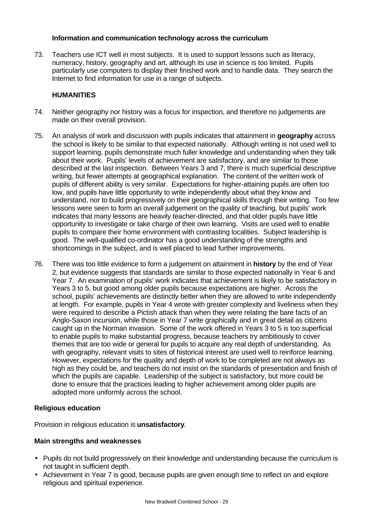#### **Information and communication technology across the curriculum**

73. Teachers use ICT well in most subjects. It is used to support lessons such as literacy, numeracy, history, geography and art, although its use in science is too limited. Pupils particularly use computers to display their finished work and to handle data. They search the Internet to find information for use in a range of subjects.

### **HUMANITIES**

- 74. Neither geography nor history was a focus for inspection, and therefore no judgements are made on their overall provision.
- 75. An analysis of work and discussion with pupils indicates that attainment in **geography** across the school is likely to be similar to that expected nationally. Although writing is not used well to support learning, pupils demonstrate much fuller knowledge and understanding when they talk about their work. Pupils' levels of achievement are satisfactory, and are similar to those described at the last inspection. Between Years 3 and 7, there is much superficial descriptive writing, but fewer attempts at geographical explanation. The content of the written work of pupils of different ability is very similar. Expectations for higher-attaining pupils are often too low, and pupils have little opportunity to write independently about what they know and understand, nor to build progressively on their geographical skills through their writing. Too few lessons were seen to form an overall judgement on the quality of teaching, but pupils' work indicates that many lessons are heavily teacher-directed, and that older pupils have little opportunity to investigate or take charge of their own learning. Visits are used well to enable pupils to compare their home environment with contrasting localities. Subject leadership is good. The well-qualified co-ordinator has a good understanding of the strengths and shortcomings in the subject, and is well placed to lead further improvements.
- 76. There was too little evidence to form a judgement on attainment in **history** by the end of Year 2, but evidence suggests that standards are similar to those expected nationally in Year 6 and Year 7. An examination of pupils' work indicates that achievement is likely to be satisfactory in Years 3 to 5, but good among older pupils because expectations are higher. Across the school, pupils' achievements are distinctly better when they are allowed to write independently at length. For example, pupils in Year 4 wrote with greater complexity and liveliness when they were required to describe a Pictish attack than when they were relating the bare facts of an Anglo-Saxon incursion, while those in Year 7 write graphically and in great detail as citizens caught up in the Norman invasion. Some of the work offered in Years 3 to 5 is too superficial to enable pupils to make substantial progress, because teachers try ambitiously to cover themes that are too wide or general for pupils to acquire any real depth of understanding. As with geography, relevant visits to sites of historical interest are used well to reinforce learning. However, expectations for the quality and depth of work to be completed are not always as high as they could be, and teachers do not insist on the standards of presentation and finish of which the pupils are capable. Leadership of the subject is satisfactory, but more could be done to ensure that the practices leading to higher achievement among older pupils are adopted more uniformly across the school.

#### **Religious education**

Provision in religious education is **unsatisfactory**.

#### **Main strengths and weaknesses**

- Pupils do not build progressively on their knowledge and understanding because the curriculum is not taught in sufficient depth.
- Achievement in Year 7 is good, because pupils are given enough time to reflect on and explore religious and spiritual experience.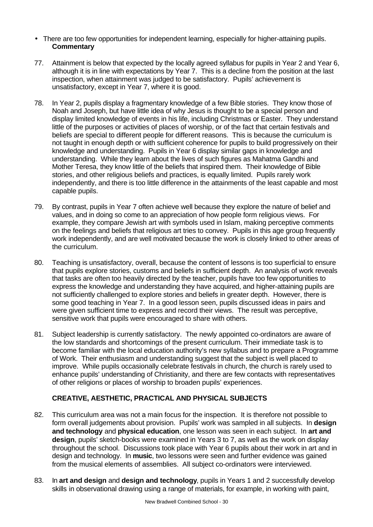- There are too few opportunities for independent learning, especially for higher-attaining pupils. **Commentary**
- 77. Attainment is below that expected by the locally agreed syllabus for pupils in Year 2 and Year 6, although it is in line with expectations by Year 7. This is a decline from the position at the last inspection, when attainment was judged to be satisfactory. Pupils' achievement is unsatisfactory, except in Year 7, where it is good.
- 78. In Year 2, pupils display a fragmentary knowledge of a few Bible stories. They know those of Noah and Joseph, but have little idea of why Jesus is thought to be a special person and display limited knowledge of events in his life, including Christmas or Easter. They understand little of the purposes or activities of places of worship, or of the fact that certain festivals and beliefs are special to different people for different reasons. This is because the curriculum is not taught in enough depth or with sufficient coherence for pupils to build progressively on their knowledge and understanding. Pupils in Year 6 display similar gaps in knowledge and understanding. While they learn about the lives of such figures as Mahatma Gandhi and Mother Teresa, they know little of the beliefs that inspired them. Their knowledge of Bible stories, and other religious beliefs and practices, is equally limited. Pupils rarely work independently, and there is too little difference in the attainments of the least capable and most capable pupils.
- 79. By contrast, pupils in Year 7 often achieve well because they explore the nature of belief and values, and in doing so come to an appreciation of how people form religious views. For example, they compare Jewish art with symbols used in Islam, making perceptive comments on the feelings and beliefs that religious art tries to convey. Pupils in this age group frequently work independently, and are well motivated because the work is closely linked to other areas of the curriculum.
- 80. Teaching is unsatisfactory, overall, because the content of lessons is too superficial to ensure that pupils explore stories, customs and beliefs in sufficient depth. An analysis of work reveals that tasks are often too heavily directed by the teacher, pupils have too few opportunities to express the knowledge and understanding they have acquired, and higher-attaining pupils are not sufficiently challenged to explore stories and beliefs in greater depth. However, there is some good teaching in Year 7. In a good lesson seen, pupils discussed ideas in pairs and were given sufficient time to express and record their views. The result was perceptive, sensitive work that pupils were encouraged to share with others.
- 81. Subject leadership is currently satisfactory. The newly appointed co-ordinators are aware of the low standards and shortcomings of the present curriculum. Their immediate task is to become familiar with the local education authority's new syllabus and to prepare a Programme of Work. Their enthusiasm and understanding suggest that the subject is well placed to improve. While pupils occasionally celebrate festivals in church, the church is rarely used to enhance pupils' understanding of Christianity, and there are few contacts with representatives of other religions or places of worship to broaden pupils' experiences.

# **CREATIVE, AESTHETIC, PRACTICAL AND PHYSICAL SUBJECTS**

- 82. This curriculum area was not a main focus for the inspection. It is therefore not possible to form overall judgements about provision. Pupils' work was sampled in all subjects. In **design and technology** and **physical education**, one lesson was seen in each subject. In **art and design**, pupils' sketch-books were examined in Years 3 to 7, as well as the work on display throughout the school. Discussions took place with Year 6 pupils about their work in art and in design and technology. In **music**, two lessons were seen and further evidence was gained from the musical elements of assemblies. All subject co-ordinators were interviewed.
- 83. In **art and design** and **design and technology**, pupils in Years 1 and 2 successfully develop skills in observational drawing using a range of materials, for example, in working with paint,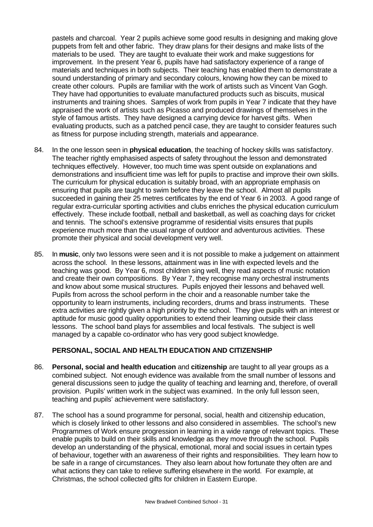pastels and charcoal. Year 2 pupils achieve some good results in designing and making glove puppets from felt and other fabric. They draw plans for their designs and make lists of the materials to be used. They are taught to evaluate their work and make suggestions for improvement. In the present Year 6, pupils have had satisfactory experience of a range of materials and techniques in both subjects. Their teaching has enabled them to demonstrate a sound understanding of primary and secondary colours, knowing how they can be mixed to create other colours. Pupils are familiar with the work of artists such as Vincent Van Gogh. They have had opportunities to evaluate manufactured products such as biscuits, musical instruments and training shoes. Samples of work from pupils in Year 7 indicate that they have appraised the work of artists such as Picasso and produced drawings of themselves in the style of famous artists. They have designed a carrying device for harvest gifts. When evaluating products, such as a patched pencil case, they are taught to consider features such as fitness for purpose including strength, materials and appearance.

- 84. In the one lesson seen in **physical education**, the teaching of hockey skills was satisfactory. The teacher rightly emphasised aspects of safety throughout the lesson and demonstrated techniques effectively. However, too much time was spent outside on explanations and demonstrations and insufficient time was left for pupils to practise and improve their own skills. The curriculum for physical education is suitably broad, with an appropriate emphasis on ensuring that pupils are taught to swim before they leave the school. Almost all pupils succeeded in gaining their 25 metres certificates by the end of Year 6 in 2003. A good range of regular extra-curricular sporting activities and clubs enriches the physical education curriculum effectively. These include football, netball and basketball, as well as coaching days for cricket and tennis. The school's extensive programme of residential visits ensures that pupils experience much more than the usual range of outdoor and adventurous activities. These promote their physical and social development very well.
- 85. In **music**, only two lessons were seen and it is not possible to make a judgement on attainment across the school. In these lessons, attainment was in line with expected levels and the teaching was good. By Year 6, most children sing well, they read aspects of music notation and create their own compositions. By Year 7, they recognise many orchestral instruments and know about some musical structures. Pupils enjoyed their lessons and behaved well. Pupils from across the school perform in the choir and a reasonable number take the opportunity to learn instruments, including recorders, drums and brass instruments. These extra activities are rightly given a high priority by the school. They give pupils with an interest or aptitude for music good quality opportunities to extend their learning outside their class lessons. The school band plays for assemblies and local festivals. The subject is well managed by a capable co-ordinator who has very good subject knowledge.

#### **PERSONAL, SOCIAL AND HEALTH EDUCATION AND CITIZENSHIP**

- 86. **Personal, social and health education** and **citizenship** are taught to all year groups as a combined subject. Not enough evidence was available from the small number of lessons and general discussions seen to judge the quality of teaching and learning and, therefore, of overall provision. Pupils' written work in the subject was examined. In the only full lesson seen, teaching and pupils' achievement were satisfactory.
- 87. The school has a sound programme for personal, social, health and citizenship education, which is closely linked to other lessons and also considered in assemblies. The school's new Programmes of Work ensure progression in learning in a wide range of relevant topics. These enable pupils to build on their skills and knowledge as they move through the school. Pupils develop an understanding of the physical, emotional, moral and social issues in certain types of behaviour, together with an awareness of their rights and responsibilities. They learn how to be safe in a range of circumstances. They also learn about how fortunate they often are and what actions they can take to relieve suffering elsewhere in the world. For example, at Christmas, the school collected gifts for children in Eastern Europe.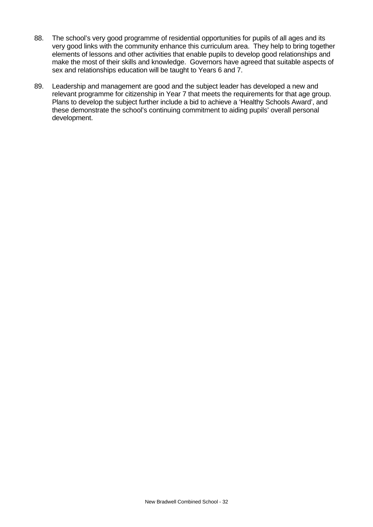- 88. The school's very good programme of residential opportunities for pupils of all ages and its very good links with the community enhance this curriculum area. They help to bring together elements of lessons and other activities that enable pupils to develop good relationships and make the most of their skills and knowledge. Governors have agreed that suitable aspects of sex and relationships education will be taught to Years 6 and 7.
- 89. Leadership and management are good and the subject leader has developed a new and relevant programme for citizenship in Year 7 that meets the requirements for that age group. Plans to develop the subject further include a bid to achieve a 'Healthy Schools Award', and these demonstrate the school's continuing commitment to aiding pupils' overall personal development.